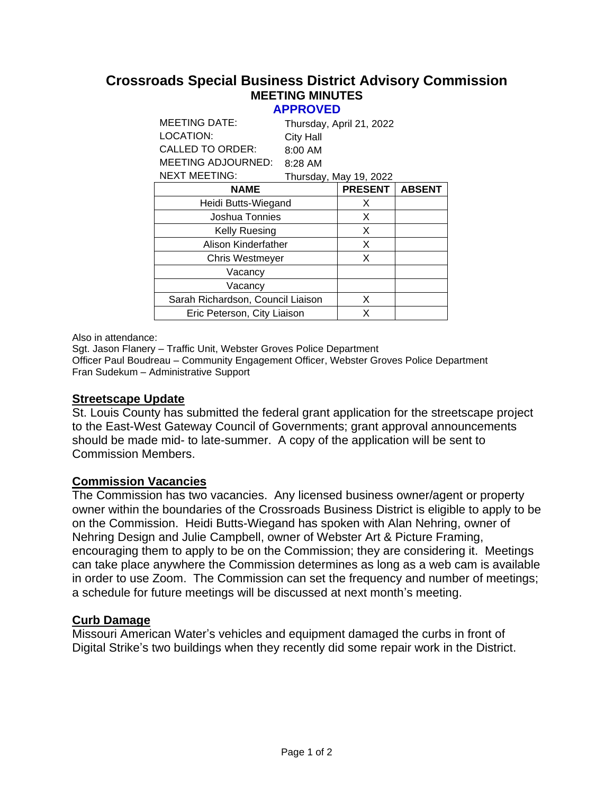#### **Crossroads Special Business District Advisory Commission MEETING MINUTES APPROVED**

| <b>City Hall</b>                  |                |                                                    |
|-----------------------------------|----------------|----------------------------------------------------|
| 8:00 AM                           |                |                                                    |
| 8:28 AM                           |                |                                                    |
|                                   |                |                                                    |
|                                   | <b>PRESENT</b> | <b>ABSENT</b>                                      |
| Heidi Butts-Wiegand               | X              |                                                    |
| Joshua Tonnies                    | X              |                                                    |
|                                   | X              |                                                    |
| Alison Kinderfather               | X              |                                                    |
| <b>Chris Westmeyer</b>            | X              |                                                    |
|                                   |                |                                                    |
|                                   |                |                                                    |
| Sarah Richardson, Council Liaison | X              |                                                    |
| Eric Peterson, City Liaison       | X              |                                                    |
|                                   |                | Thursday, April 21, 2022<br>Thursday, May 19, 2022 |

Also in attendance:

Sgt. Jason Flanery – Traffic Unit, Webster Groves Police Department Officer Paul Boudreau – Community Engagement Officer, Webster Groves Police Department Fran Sudekum – Administrative Support

### **Streetscape Update**

St. Louis County has submitted the federal grant application for the streetscape project to the East-West Gateway Council of Governments; grant approval announcements should be made mid- to late-summer. A copy of the application will be sent to Commission Members.

### **Commission Vacancies**

The Commission has two vacancies. Any licensed business owner/agent or property owner within the boundaries of the Crossroads Business District is eligible to apply to be on the Commission. Heidi Butts-Wiegand has spoken with Alan Nehring, owner of Nehring Design and Julie Campbell, owner of Webster Art & Picture Framing, encouraging them to apply to be on the Commission; they are considering it. Meetings can take place anywhere the Commission determines as long as a web cam is available in order to use Zoom. The Commission can set the frequency and number of meetings; a schedule for future meetings will be discussed at next month's meeting.

### **Curb Damage**

Missouri American Water's vehicles and equipment damaged the curbs in front of Digital Strike's two buildings when they recently did some repair work in the District.